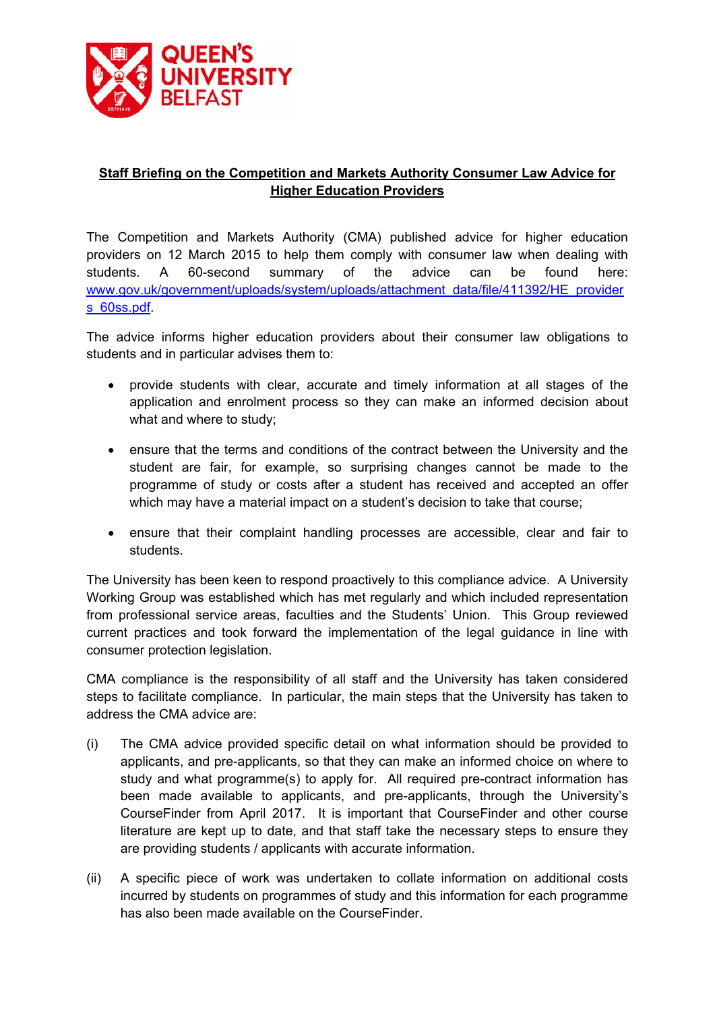

## **Staff Briefing on the Competition and Markets Authority Consumer Law Advice for Higher Education Providers**

The Competition and Markets Authority (CMA) published advice for higher education providers on 12 March 2015 to help them comply with consumer law when dealing with students. A 60-second summary of the advice can be found here: www.gov.uk/government/uploads/system/uploads/attachment\_data/file/411392/HE\_provider s\_60ss.pdf.

The advice informs higher education providers about their consumer law obligations to students and in particular advises them to:

- provide students with clear, accurate and timely information at all stages of the application and enrolment process so they can make an informed decision about what and where to study;
- ensure that the terms and conditions of the contract between the University and the student are fair, for example, so surprising changes cannot be made to the programme of study or costs after a student has received and accepted an offer which may have a material impact on a student's decision to take that course;
- ensure that their complaint handling processes are accessible, clear and fair to students.

The University has been keen to respond proactively to this compliance advice. A University Working Group was established which has met regularly and which included representation from professional service areas, faculties and the Students' Union. This Group reviewed current practices and took forward the implementation of the legal guidance in line with consumer protection legislation.

CMA compliance is the responsibility of all staff and the University has taken considered steps to facilitate compliance. In particular, the main steps that the University has taken to address the CMA advice are:

- (i) The CMA advice provided specific detail on what information should be provided to applicants, and pre-applicants, so that they can make an informed choice on where to study and what programme(s) to apply for. All required pre-contract information has been made available to applicants, and pre-applicants, through the University's CourseFinder from April 2017. It is important that CourseFinder and other course literature are kept up to date, and that staff take the necessary steps to ensure they are providing students / applicants with accurate information.
- (ii) A specific piece of work was undertaken to collate information on additional costs incurred by students on programmes of study and this information for each programme has also been made available on the CourseFinder.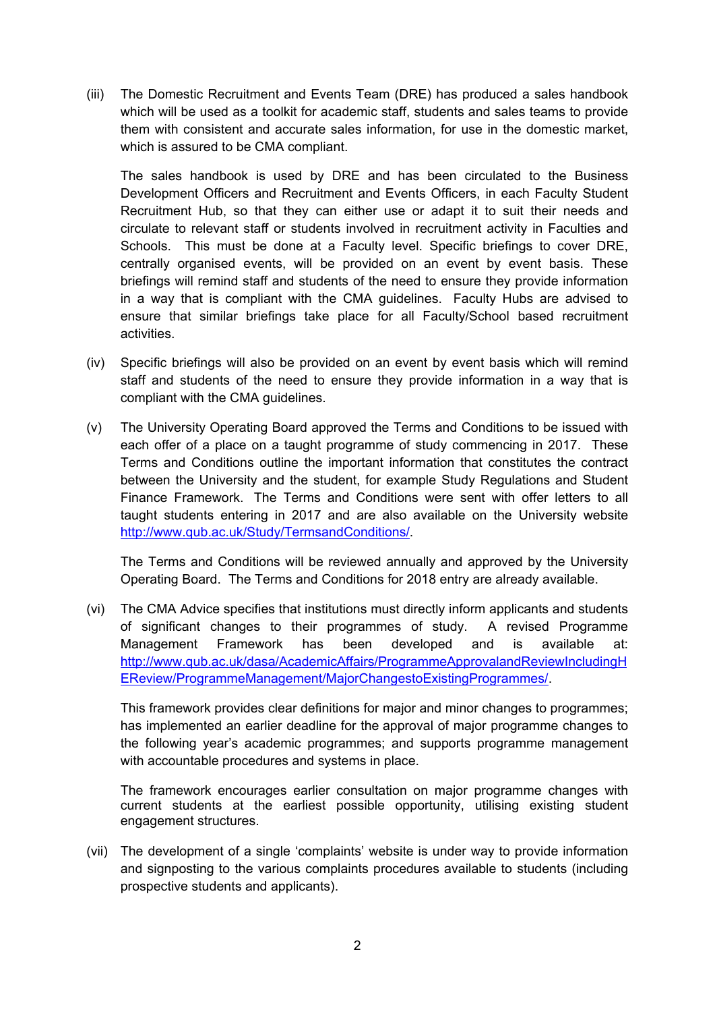(iii) The Domestic Recruitment and Events Team (DRE) has produced a sales handbook which will be used as a toolkit for academic staff, students and sales teams to provide them with consistent and accurate sales information, for use in the domestic market, which is assured to be CMA compliant.

The sales handbook is used by DRE and has been circulated to the Business Development Officers and Recruitment and Events Officers, in each Faculty Student Recruitment Hub, so that they can either use or adapt it to suit their needs and circulate to relevant staff or students involved in recruitment activity in Faculties and Schools. This must be done at a Faculty level. Specific briefings to cover DRE, centrally organised events, will be provided on an event by event basis. These briefings will remind staff and students of the need to ensure they provide information in a way that is compliant with the CMA guidelines. Faculty Hubs are advised to ensure that similar briefings take place for all Faculty/School based recruitment activities.

- (iv) Specific briefings will also be provided on an event by event basis which will remind staff and students of the need to ensure they provide information in a way that is compliant with the CMA guidelines.
- (v) The University Operating Board approved the Terms and Conditions to be issued with each offer of a place on a taught programme of study commencing in 2017. These Terms and Conditions outline the important information that constitutes the contract between the University and the student, for example Study Regulations and Student Finance Framework. The Terms and Conditions were sent with offer letters to all taught students entering in 2017 and are also available on the University website http://www.qub.ac.uk/Study/TermsandConditions/.

The Terms and Conditions will be reviewed annually and approved by the University Operating Board. The Terms and Conditions for 2018 entry are already available.

(vi) The CMA Advice specifies that institutions must directly inform applicants and students of significant changes to their programmes of study. A revised Programme Management Framework has been developed and is available at: http://www.qub.ac.uk/dasa/AcademicAffairs/ProgrammeApprovalandReviewIncludingH EReview/ProgrammeManagement/MajorChangestoExistingProgrammes/.

This framework provides clear definitions for major and minor changes to programmes; has implemented an earlier deadline for the approval of major programme changes to the following year's academic programmes; and supports programme management with accountable procedures and systems in place.

The framework encourages earlier consultation on major programme changes with current students at the earliest possible opportunity, utilising existing student engagement structures.

(vii) The development of a single 'complaints' website is under way to provide information and signposting to the various complaints procedures available to students (including prospective students and applicants).